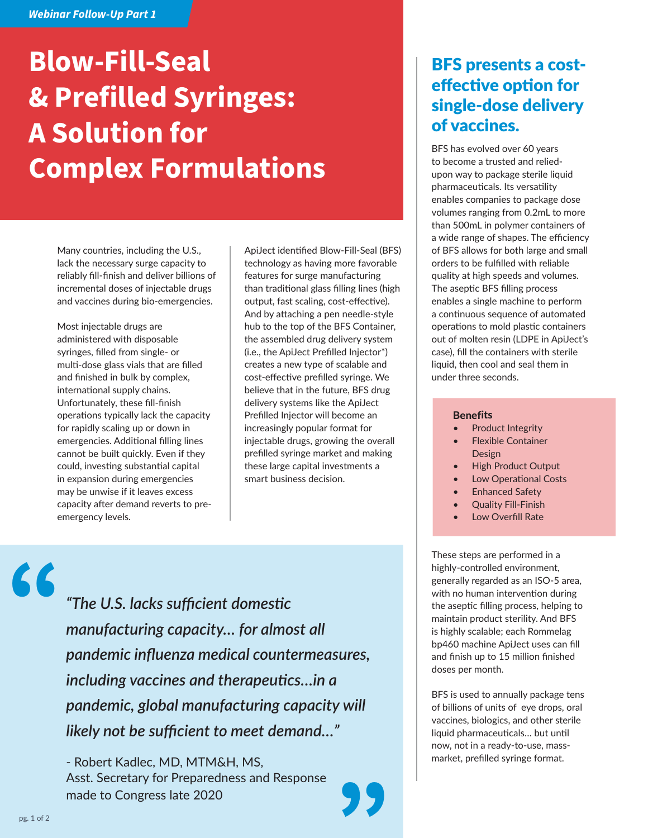#### *Webinar Follow-Up Part 1*

# **Blow-Fill-Seal & Prefilled Syringes: A Solution for Complex Formulations**

Many countries, including the U.S., lack the necessary surge capacity to reliably fill-finish and deliver billions of incremental doses of injectable drugs and vaccines during bio-emergencies.

Most injectable drugs are administered with disposable syringes, filled from single- or multi-dose glass vials that are filled and finished in bulk by complex, international supply chains. Unfortunately, these fill-finish operations typically lack the capacity for rapidly scaling up or down in emergencies. Additional filling lines cannot be built quickly. Even if they could, investing substantial capital in expansion during emergencies may be unwise if it leaves excess capacity after demand reverts to preemergency levels.

ApiJect identified Blow-Fill-Seal (BFS) technology as having more favorable features for surge manufacturing than traditional glass filling lines (high output, fast scaling, cost-effective). And by attaching a pen needle-style hub to the top of the BFS Container, the assembled drug delivery system (i.e., the ApiJect Prefilled Injector\*) creates a new type of scalable and cost-effective prefilled syringe. We believe that in the future, BFS drug delivery systems like the ApiJect Prefilled Injector will become an increasingly popular format for injectable drugs, growing the overall prefilled syringe market and making these large capital investments a smart business decision.

### BFS presents a costeffective option for single-dose delivery of vaccines.

BFS has evolved over 60 years to become a trusted and reliedupon way to package sterile liquid pharmaceuticals. Its versatility enables companies to package dose volumes ranging from 0.2mL to more than 500mL in polymer containers of a wide range of shapes. The efficiency of BFS allows for both large and small orders to be fulfilled with reliable quality at high speeds and volumes. The aseptic BFS filling process enables a single machine to perform a continuous sequence of automated operations to mold plastic containers out of molten resin (LDPE in ApiJect's case), fill the containers with sterile liquid, then cool and seal them in under three seconds.

#### **Benefits**

- Product Integrity
- Flexible Container Design
- High Product Output
- Low Operational Costs
- **Enhanced Safety**
- Quality Fill-Finish
- Low Overfill Rate

These steps are performed in a highly-controlled environment, generally regarded as an ISO-5 area, with no human intervention during the aseptic filling process, helping to maintain product sterility. And BFS is highly scalable; each Rommelag bp460 machine ApiJect uses can fill and finish up to 15 million finished doses per month.

BFS is used to annually package tens of billions of units of eye drops, oral vaccines, biologics, and other sterile liquid pharmaceuticals… but until now, not in a ready-to-use, massmarket, prefilled syringe format.

*"The U.S. lacks sufficient domestic manufacturing capacity… for almost all pandemic influenza medical countermeasures, including vaccines and therapeutics…in a pandemic, global manufacturing capacity will likely not be sufficient to meet demand…"* 

- Robert Kadlec, MD, MTM&H, MS, Asst. Secretary for Preparedness and Response made to Congress late 2020



"